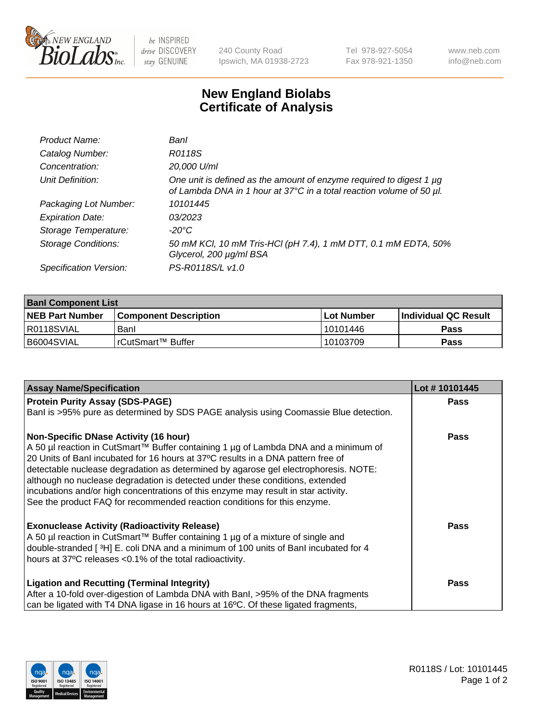

 $be$  INSPIRED drive DISCOVERY stay GENUINE

240 County Road Ipswich, MA 01938-2723 Tel 978-927-5054 Fax 978-921-1350 www.neb.com info@neb.com

## **New England Biolabs Certificate of Analysis**

| Product Name:              | Banl                                                                                                                                        |
|----------------------------|---------------------------------------------------------------------------------------------------------------------------------------------|
| Catalog Number:            | R0118S                                                                                                                                      |
| Concentration:             | 20,000 U/ml                                                                                                                                 |
| Unit Definition:           | One unit is defined as the amount of enzyme required to digest 1 µg<br>of Lambda DNA in 1 hour at 37°C in a total reaction volume of 50 µl. |
| Packaging Lot Number:      | 10101445                                                                                                                                    |
| <b>Expiration Date:</b>    | 03/2023                                                                                                                                     |
| Storage Temperature:       | -20°C                                                                                                                                       |
| <b>Storage Conditions:</b> | 50 mM KCl, 10 mM Tris-HCl (pH 7.4), 1 mM DTT, 0.1 mM EDTA, 50%<br>Glycerol, 200 µg/ml BSA                                                   |
| Specification Version:     | PS-R0118S/L v1.0                                                                                                                            |

| <b>Banl Component List</b> |                         |              |                             |  |  |
|----------------------------|-------------------------|--------------|-----------------------------|--|--|
| <b>NEB Part Number</b>     | l Component Description | l Lot Number | <b>Individual QC Result</b> |  |  |
| IR0118SVIAL                | Banl                    | 10101446     | Pass                        |  |  |
| I B6004SVIAL               | I rCutSmart™ Buffer_    | 10103709     | Pass                        |  |  |

| <b>Assay Name/Specification</b>                                                                                                                                                                                                                                                                                                                                                                                                                                                                                                                                   | Lot #10101445 |
|-------------------------------------------------------------------------------------------------------------------------------------------------------------------------------------------------------------------------------------------------------------------------------------------------------------------------------------------------------------------------------------------------------------------------------------------------------------------------------------------------------------------------------------------------------------------|---------------|
| <b>Protein Purity Assay (SDS-PAGE)</b>                                                                                                                                                                                                                                                                                                                                                                                                                                                                                                                            | <b>Pass</b>   |
| Banl is >95% pure as determined by SDS PAGE analysis using Coomassie Blue detection.                                                                                                                                                                                                                                                                                                                                                                                                                                                                              |               |
| <b>Non-Specific DNase Activity (16 hour)</b><br>A 50 µl reaction in CutSmart™ Buffer containing 1 µg of Lambda DNA and a minimum of<br>20 Units of Banl incubated for 16 hours at 37°C results in a DNA pattern free of<br>detectable nuclease degradation as determined by agarose gel electrophoresis. NOTE:<br>although no nuclease degradation is detected under these conditions, extended<br>incubations and/or high concentrations of this enzyme may result in star activity.<br>See the product FAQ for recommended reaction conditions for this enzyme. | Pass          |
| <b>Exonuclease Activity (Radioactivity Release)</b><br>A 50 µl reaction in CutSmart™ Buffer containing 1 µg of a mixture of single and<br>double-stranded [3H] E. coli DNA and a minimum of 100 units of Banl incubated for 4<br>hours at 37°C releases <0.1% of the total radioactivity.                                                                                                                                                                                                                                                                         | Pass          |
| <b>Ligation and Recutting (Terminal Integrity)</b><br>After a 10-fold over-digestion of Lambda DNA with BanI, >95% of the DNA fragments<br>can be ligated with T4 DNA ligase in 16 hours at 16°C. Of these ligated fragments,                                                                                                                                                                                                                                                                                                                                     | Pass          |